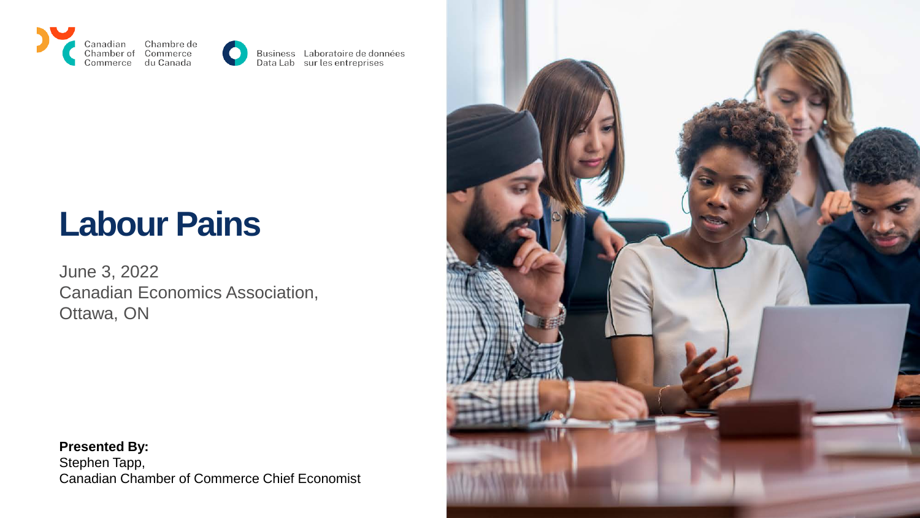



Business Laboratoire de données<br>Data Lab sur les entreprises

## **Labour Pains**

June 3, 2022 Canadian Economics Association, Ottawa, ON



**Presented By:** Stephen Tapp, Canadian Chamber of Commerce Chief Economist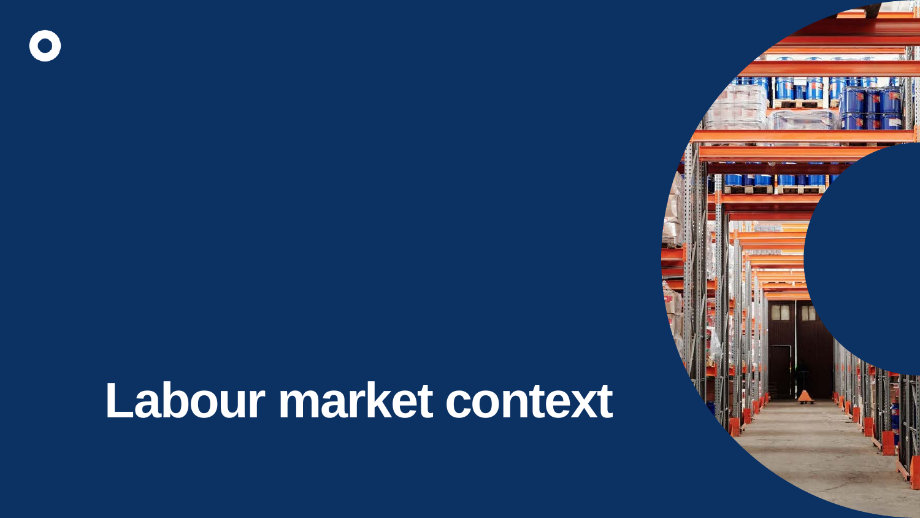# **Labour market context**

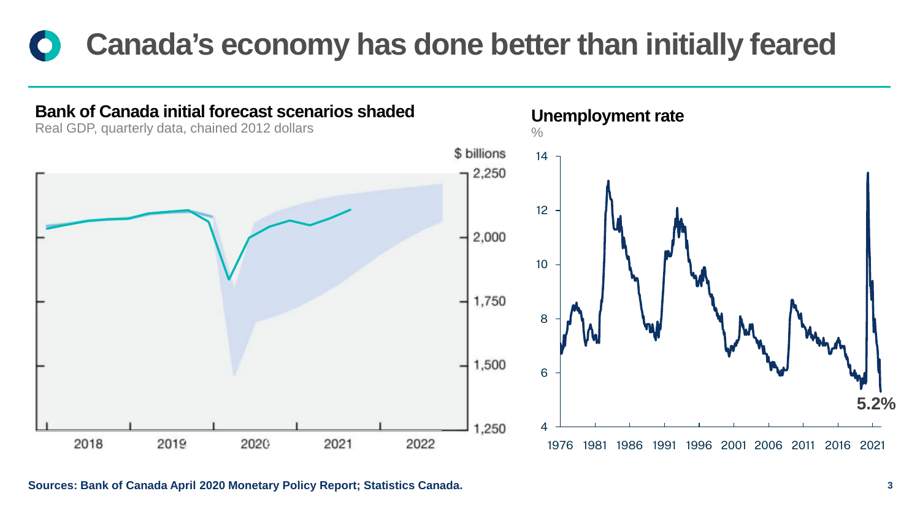## **Canada's economy has done better than initially feared**



**Sources: Bank of Canada April 2020 Monetary Policy Report; Statistics Canada.**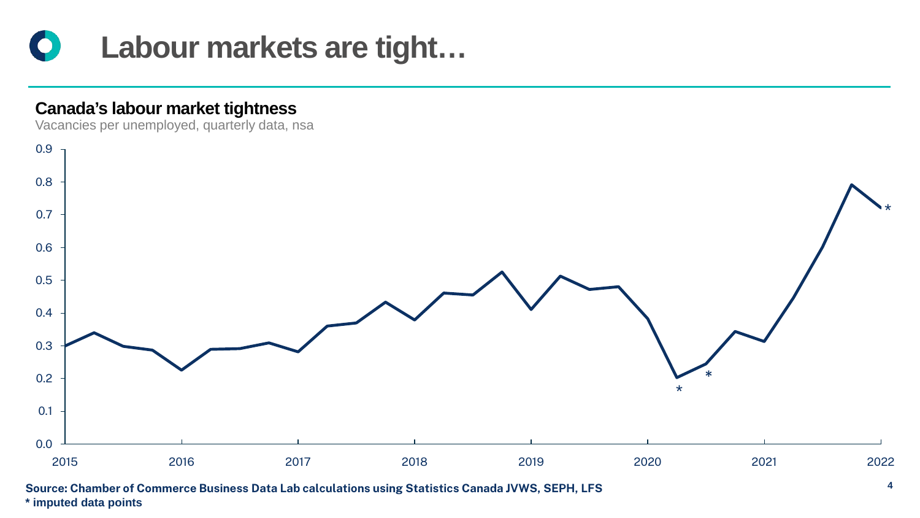

#### **Canada's labour market tightness**

Vacancies per unemployed, quarterly data, nsa



**Source: Chamber of Commerce Business Data Lab calculations using Statistics Canada JVWS, SEPH, LFS \* imputed data points**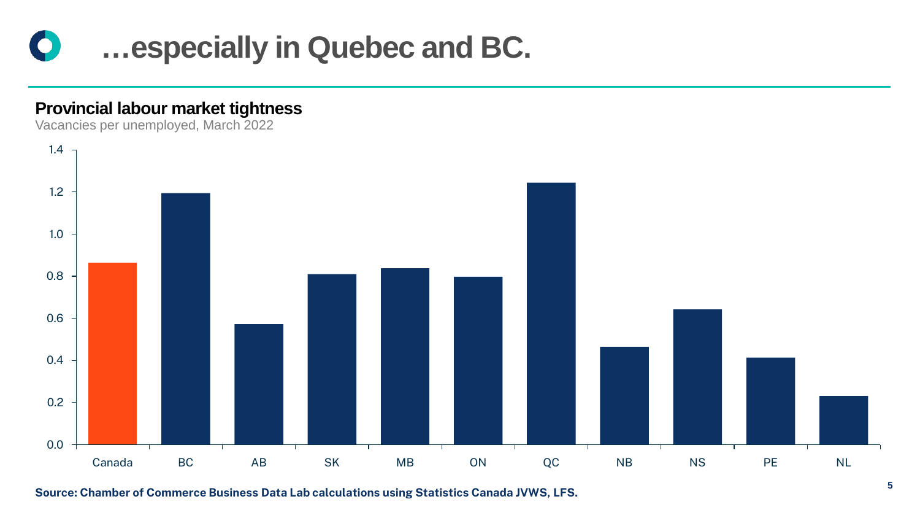

#### **Provincial labour market tightness**

Vacancies per unemployed, March 2022



**Source: Chamber of Commerce Business Data Lab calculations using Statistics Canada JVWS, LFS.**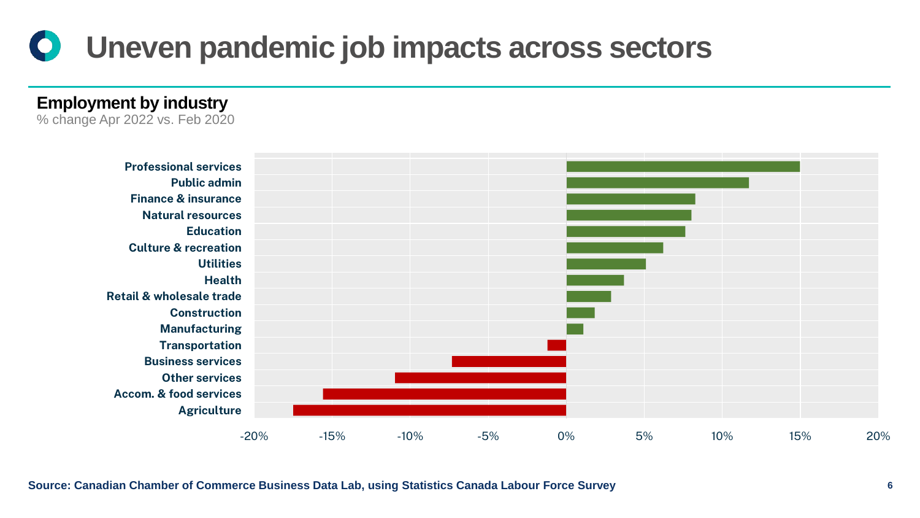#### **Uneven pandemic job impacts across sectors**  $\bigcirc$

**Total Employment by industry**

**Goods** % change Apr 2022 vs. Feb 2020



**Source: Canadian Chamber of Commerce Business Data Lab, using Statistics Canada Labour Force Survey 6**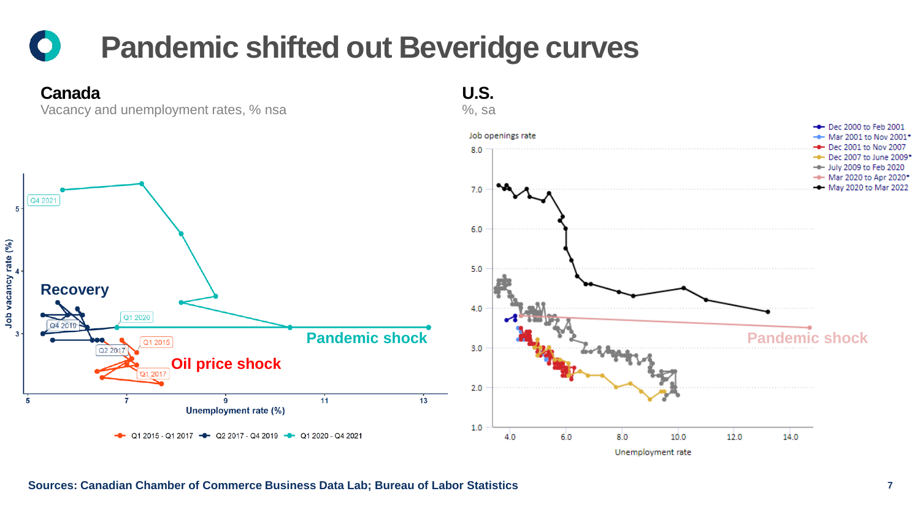## **Pandemic shifted out Beveridge curves**

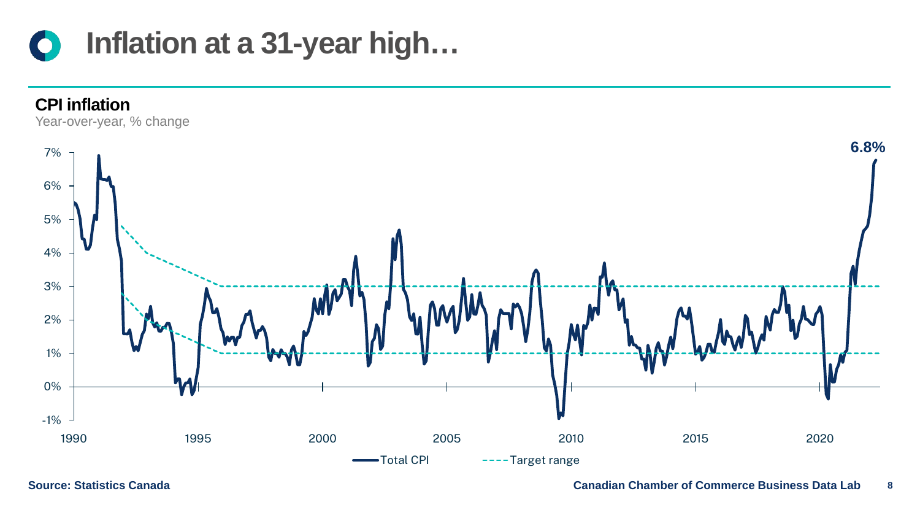



**Source: Statistics Canada**

**Canadian Chamber of Commerce Business Data Lab 8**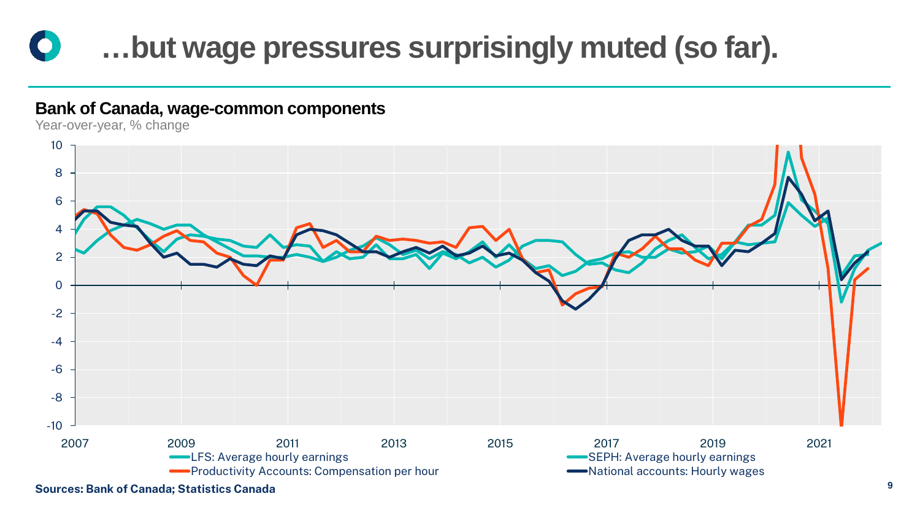

#### **Bank of Canada, wage-common components**

Year-over-year, % change



**Sources: Bank of Canada; Statistics Canada**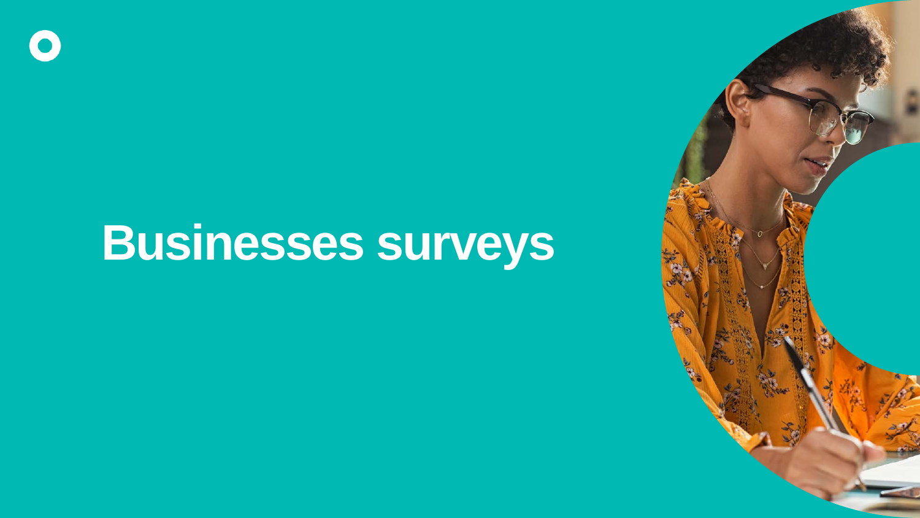# **Businesses surveys**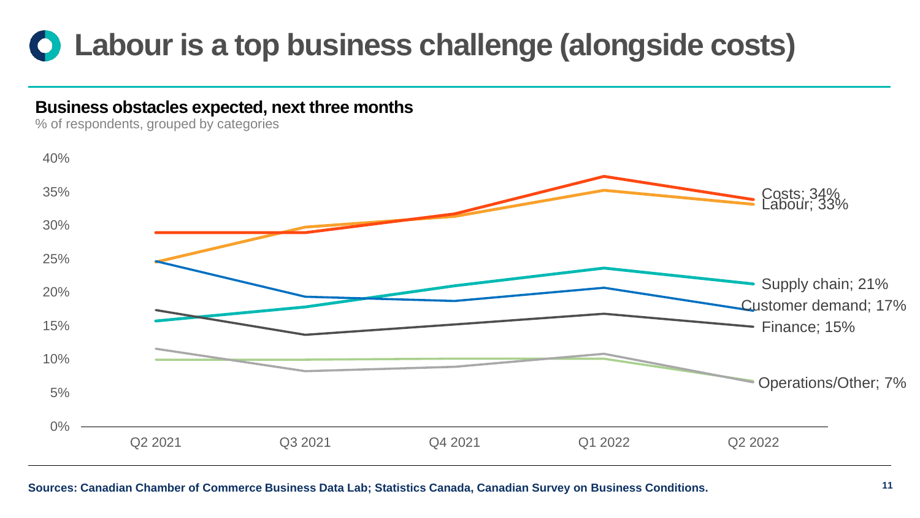## **Labour is a top business challenge (alongside costs)**

#### **Business obstacles expected, next three months**

% of respondents, grouped by categories



#### **Sources: Canadian Chamber of Commerce Business Data Lab; Statistics Canada, Canadian Survey on Business Conditions.**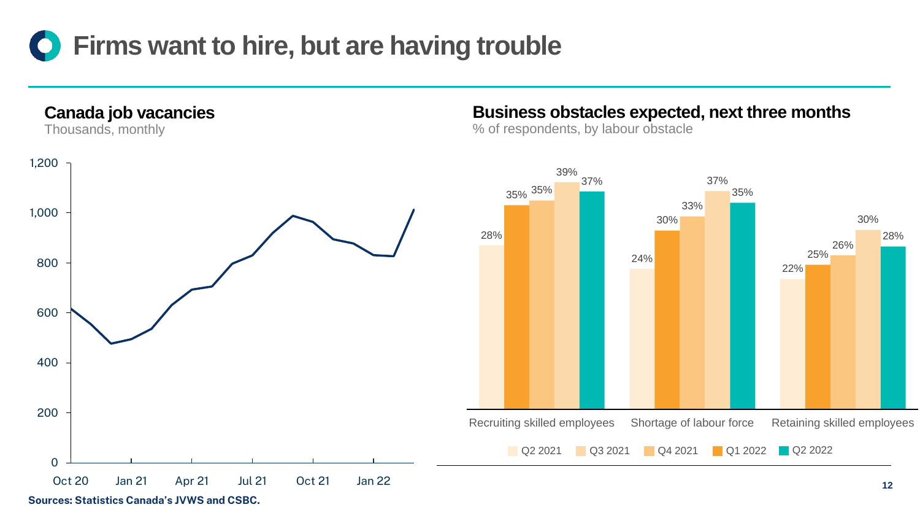

**Canada job vacancies**

Thousands, monthly



**Sources: Statistics Canada's JVWS and CSBC.** 

#### **Business obstacles expected, next three months**

% of respondents, by labour obstacle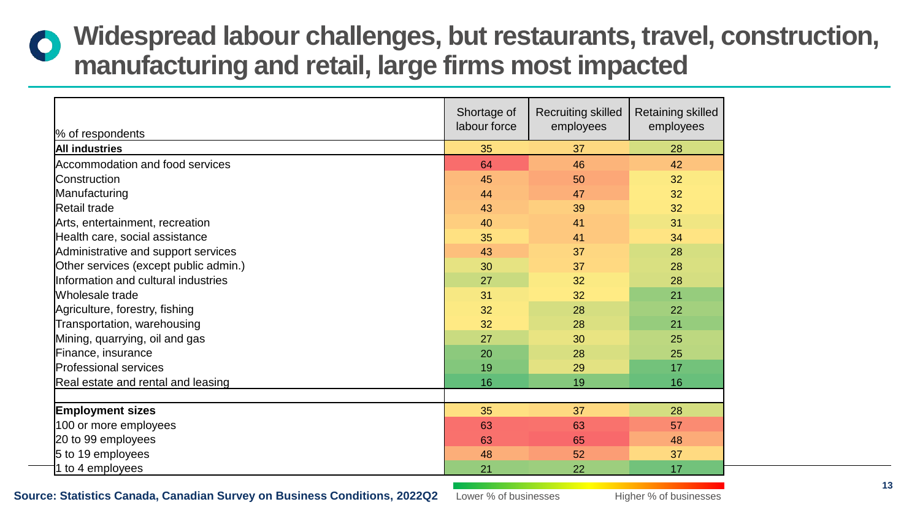### **Widespread labour challenges, but restaurants, travel, construction, manufacturing and retail, large firms most impacted**

| % of respondents                      | Shortage of<br>labour force | <b>Recruiting skilled</b><br>employees | Retaining skilled<br>employees |
|---------------------------------------|-----------------------------|----------------------------------------|--------------------------------|
| <b>All industries</b>                 | 35                          | 37                                     | 28                             |
| Accommodation and food services       | 64                          | 46                                     | 42                             |
| <b>Construction</b>                   | 45                          | 50                                     | 32                             |
| Manufacturing                         | 44                          | 47                                     | 32                             |
| Retail trade                          | 43                          | 39                                     | 32                             |
| Arts, entertainment, recreation       | 40                          | 41                                     | 31                             |
| Health care, social assistance        | 35                          | 41                                     | 34                             |
| Administrative and support services   | 43                          | 37                                     | 28                             |
| Other services (except public admin.) | 30                          | 37                                     | 28                             |
| Information and cultural industries   | 27                          | 32                                     | 28                             |
| Wholesale trade                       | 31                          | 32                                     | 21                             |
| Agriculture, forestry, fishing        | 32                          | 28                                     | 22                             |
| Transportation, warehousing           | 32                          | 28                                     | 21                             |
| Mining, quarrying, oil and gas        | 27                          | 30                                     | 25                             |
| Finance, insurance                    | 20                          | 28                                     | 25                             |
| <b>Professional services</b>          | 19                          | 29                                     | 17                             |
| Real estate and rental and leasing    | 16                          | 19                                     | 16                             |
|                                       |                             |                                        |                                |
| <b>Employment sizes</b>               | 35                          | 37                                     | 28                             |
| 100 or more employees                 | 63                          | 63                                     | 57                             |
| 20 to 99 employees                    | 63                          | 65                                     | 48                             |
| 5 to 19 employees                     | 48                          | 52                                     | 37                             |
| 1 to 4 employees                      | 21                          | 22                                     | 17                             |

**Source: Statistics Canada, Canadian Survey on Business Conditions, 2022Q2**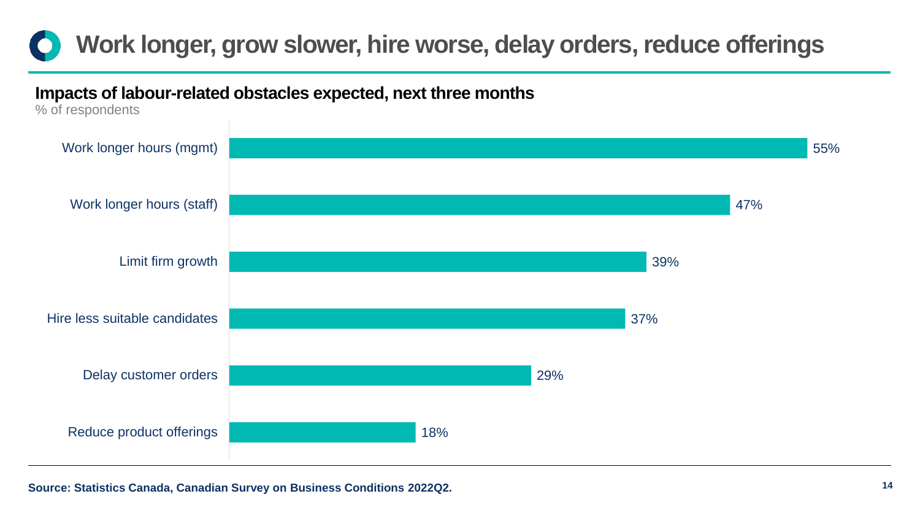

#### **Impacts of labour-related obstacles expected, next three months**

% of respondents

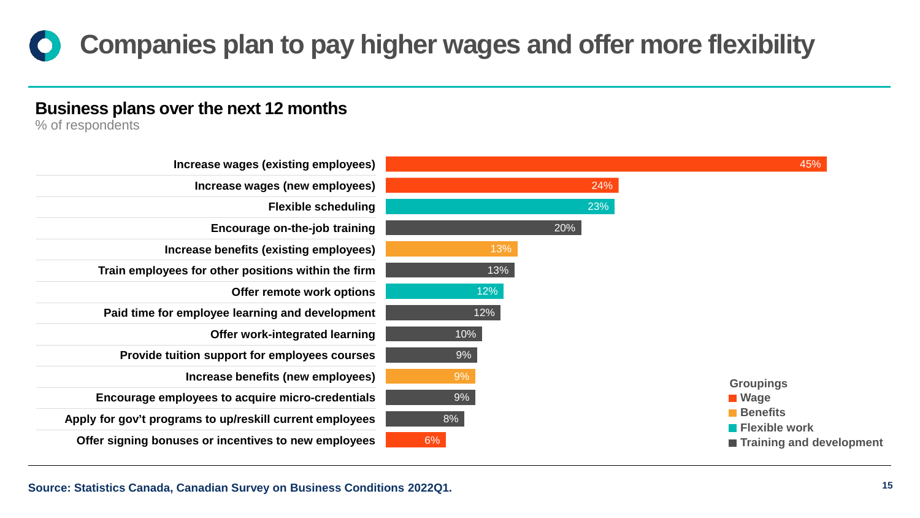## **Companies plan to pay higher wages and offer more flexibility**

#### **Business plans over the next 12 months**

% of respondents

| Increase wages (existing employees)                      |     | 45%                                     |
|----------------------------------------------------------|-----|-----------------------------------------|
| Increase wages (new employees)                           | 24% |                                         |
| <b>Flexible scheduling</b>                               | 23% |                                         |
| <b>Encourage on-the-job training</b>                     | 20% |                                         |
| Increase benefits (existing employees)                   | 13% |                                         |
| Train employees for other positions within the firm      | 13% |                                         |
| Offer remote work options                                | 12% |                                         |
| Paid time for employee learning and development          | 12% |                                         |
| Offer work-integrated learning                           | 10% |                                         |
| Provide tuition support for employees courses            | 9%  |                                         |
| Increase benefits (new employees)                        | 9%  | <b>Groupings</b>                        |
| Encourage employees to acquire micro-credentials         | 9%  | <b>■ Wage</b>                           |
| Apply for gov't programs to up/reskill current employees | 8%  | <b>Benefits</b><br><b>Flexible work</b> |
| Offer signing bonuses or incentives to new employees     | 6%  | ■ Training and development              |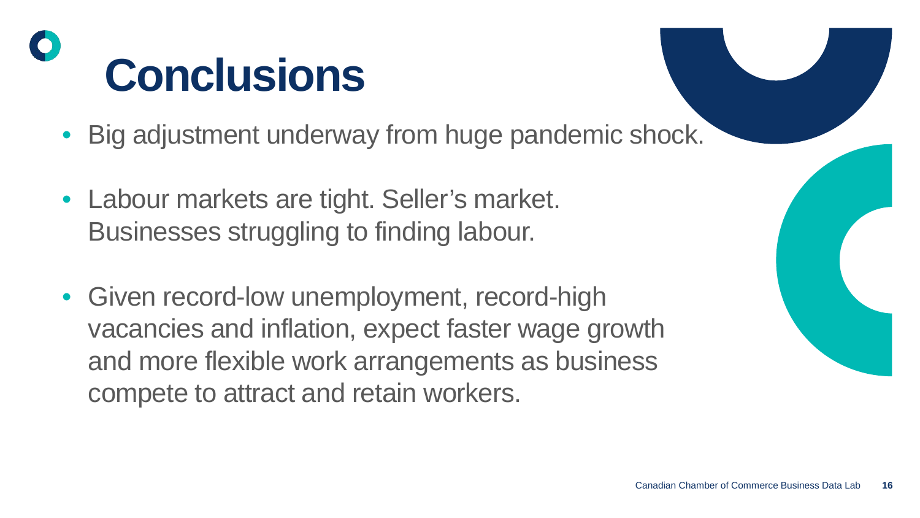# **Conclusions**

- Big adjustment underway from huge pandemic shock.
- Labour markets are tight. Seller's market. Businesses struggling to finding labour.
- Given record-low unemployment, record-high vacancies and inflation, expect faster wage growth and more flexible work arrangements as business compete to attract and retain workers.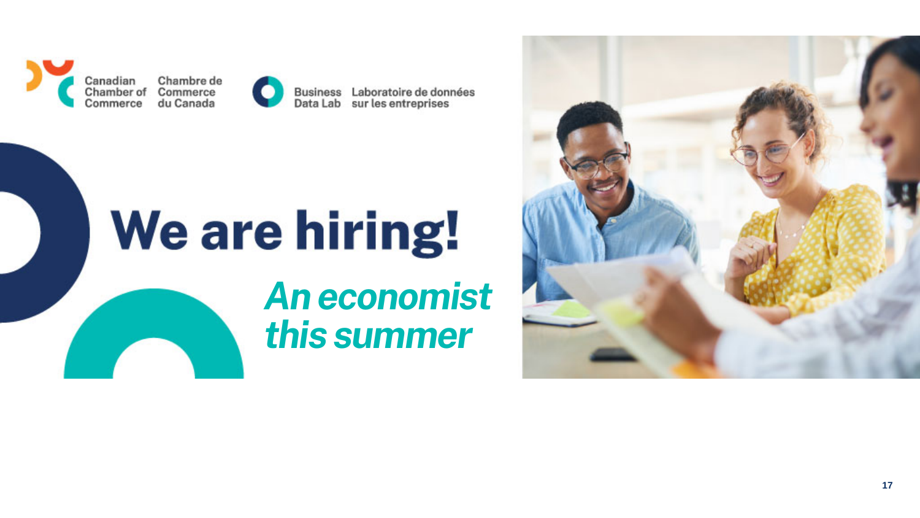



Business Laboratoire de données Data Lab sur les entreprises

# **We are hiring!** *An economist this summer*